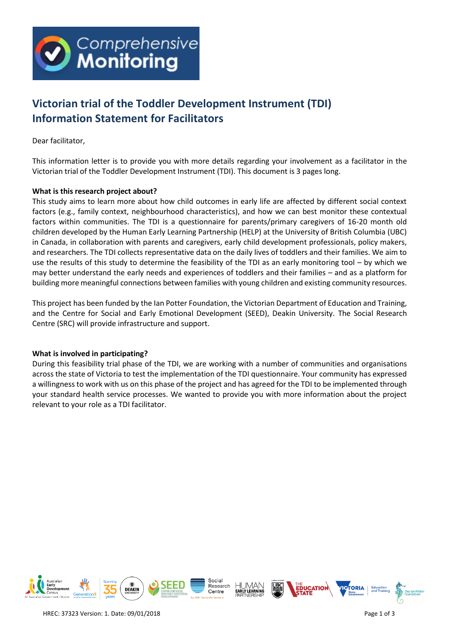

# **Victorian trial of the Toddler Development Instrument (TDI) Information Statement for Facilitators**

Dear facilitator,

This information letter is to provide you with more details regarding your involvement as a facilitator in the Victorian trial of the Toddler Development Instrument (TDI). This document is 3 pages long.

# **What is this research project about?**

This study aims to learn more about how child outcomes in early life are affected by different social context factors (e.g., family context, neighbourhood characteristics), and how we can best monitor these contextual factors within communities. The TDI is a questionnaire for parents/primary caregivers of 16-20 month old children developed by the Human Early Learning Partnership (HELP) at the University of British Columbia (UBC) in Canada, in collaboration with parents and caregivers, early child development professionals, policy makers, and researchers. The TDI collects representative data on the daily lives of toddlers and their families. We aim to use the results of this study to determine the feasibility of the TDI as an early monitoring tool – by which we may better understand the early needs and experiences of toddlers and their families – and as a platform for building more meaningful connections between families with young children and existing community resources.

This project has been funded by the Ian Potter Foundation, the Victorian Department of Education and Training, and the Centre for Social and Early Emotional Development (SEED), Deakin University. The Social Research Centre (SRC) will provide infrastructure and support.

### **What is involved in participating?**

During this feasibility trial phase of the TDI, we are working with a number of communities and organisations across the state of Victoria to test the implementation of the TDI questionnaire. Your community has expressed a willingness to work with us on this phase of the project and has agreed for the TDI to be implemented through your standard health service processes. We wanted to provide you with more information about the project relevant to your role as a TDI facilitator.

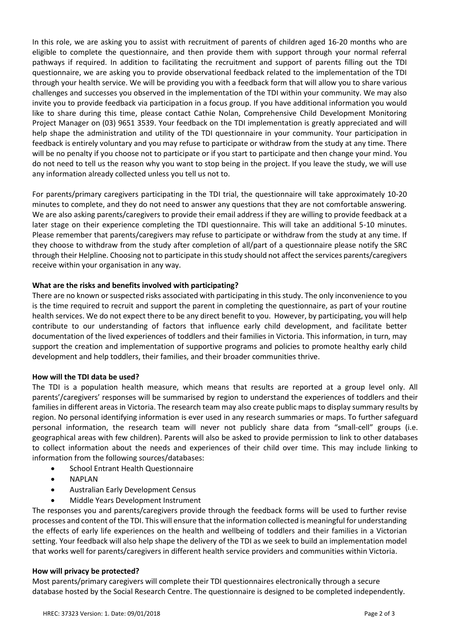In this role, we are asking you to assist with recruitment of parents of children aged 16-20 months who are eligible to complete the questionnaire, and then provide them with support through your normal referral pathways if required. In addition to facilitating the recruitment and support of parents filling out the TDI questionnaire, we are asking you to provide observational feedback related to the implementation of the TDI through your health service. We will be providing you with a feedback form that will allow you to share various challenges and successes you observed in the implementation of the TDI within your community. We may also invite you to provide feedback via participation in a focus group. If you have additional information you would like to share during this time, please contact Cathie Nolan, Comprehensive Child Development Monitoring Project Manager on (03) 9651 3539. Your feedback on the TDI implementation is greatly appreciated and will help shape the administration and utility of the TDI questionnaire in your community. Your participation in feedback is entirely voluntary and you may refuse to participate or withdraw from the study at any time. There will be no penalty if you choose not to participate or if you start to participate and then change your mind. You do not need to tell us the reason why you want to stop being in the project. If you leave the study, we will use any information already collected unless you tell us not to.

For parents/primary caregivers participating in the TDI trial, the questionnaire will take approximately 10-20 minutes to complete, and they do not need to answer any questions that they are not comfortable answering. We are also asking parents/caregivers to provide their email address if they are willing to provide feedback at a later stage on their experience completing the TDI questionnaire. This will take an additional 5-10 minutes. Please remember that parents/caregivers may refuse to participate or withdraw from the study at any time. If they choose to withdraw from the study after completion of all/part of a questionnaire please notify the SRC through their Helpline. Choosing not to participate in this study should not affect the services parents/caregivers receive within your organisation in any way.

# **What are the risks and benefits involved with participating?**

There are no known or suspected risks associated with participating in this study. The only inconvenience to you is the time required to recruit and support the parent in completing the questionnaire, as part of your routine health services. We do not expect there to be any direct benefit to you. However, by participating, you will help contribute to our understanding of factors that influence early child development, and facilitate better documentation of the lived experiences of toddlers and their families in Victoria. This information, in turn, may support the creation and implementation of supportive programs and policies to promote healthy early child development and help toddlers, their families, and their broader communities thrive.

### **How will the TDI data be used?**

The TDI is a population health measure, which means that results are reported at a group level only. All parents'/caregivers' responses will be summarised by region to understand the experiences of toddlers and their families in different areas in Victoria. The research team may also create public maps to display summary results by region. No personal identifying information is ever used in any research summaries or maps. To further safeguard personal information, the research team will never not publicly share data from "small-cell" groups (i.e. geographical areas with few children). Parents will also be asked to provide permission to link to other databases to collect information about the needs and experiences of their child over time. This may include linking to information from the following sources/databases:

- School Entrant Health Questionnaire
- NAPLAN
- Australian Early Development Census
- Middle Years Development Instrument

The responses you and parents/caregivers provide through the feedback forms will be used to further revise processes and content of the TDI. This will ensure that the information collected is meaningful for understanding the effects of early life experiences on the health and wellbeing of toddlers and their families in a Victorian setting. Your feedback will also help shape the delivery of the TDI as we seek to build an implementation model that works well for parents/caregivers in different health service providers and communities within Victoria.

### **How will privacy be protected?**

Most parents/primary caregivers will complete their TDI questionnaires electronically through a secure database hosted by the Social Research Centre. The questionnaire is designed to be completed independently.